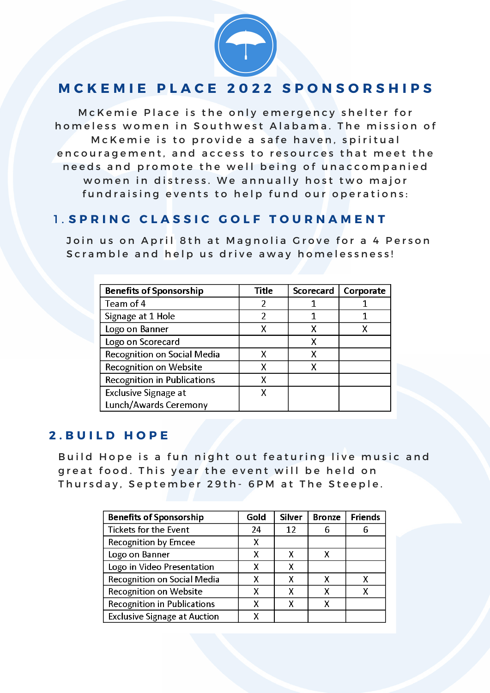

# MCKEMIE PLACE 2022 SPONSORSHIPS

McKemie Place is the only emergency shelter for homeless women in Southwest Alabama. The mission of Mc K e mie is to provide a safe haven, spiritual en couragement, and access to resources that meet the needs and promote the well being of unaccompanied women in distress. We annually host two major fundraising events to help fund our operations:

### **1. SPRING CLASSIC GOLF TOURNAMENT**

Join us on April 8th at Magnolia Grove for a 4 Person Scramble and help us drive away homelessness!

| <b>Benefits of Sponsorship</b>     | Title | <b>Scorecard</b> | Corporate |
|------------------------------------|-------|------------------|-----------|
| Team of 4                          |       |                  |           |
| Signage at 1 Hole                  | 2     |                  |           |
| Logo on Banner                     |       |                  |           |
| Logo on Scorecard                  |       | Х                |           |
| Recognition on Social Media        | x     | χ                |           |
| Recognition on Website             |       |                  |           |
| <b>Recognition in Publications</b> | χ     |                  |           |
| <b>Exclusive Signage at</b>        | X     |                  |           |
| Lunch/Awards Ceremony              |       |                  |           |

#### **2 . B U I L D H O P E**

Build Hope is a fun night out featuring live music and great food. This year the event will be held on Thursday, September 29th - 6PM at The Steeple.

| <b>Benefits of Sponsorship</b>      | Gold | <b>Silver</b> | <b>Bronze</b> | <b>Friends</b> |
|-------------------------------------|------|---------------|---------------|----------------|
| Tickets for the Event               | 24   | 12            | 6             |                |
| <b>Recognition by Emcee</b>         | х    |               |               |                |
| Logo on Banner                      | х    |               |               |                |
| Logo in Video Presentation          | χ    |               |               |                |
| <b>Recognition on Social Media</b>  | χ    |               | x             |                |
| Recognition on Website              | x    | x             |               |                |
| <b>Recognition in Publications</b>  | χ    |               |               |                |
| <b>Exclusive Signage at Auction</b> |      |               |               |                |